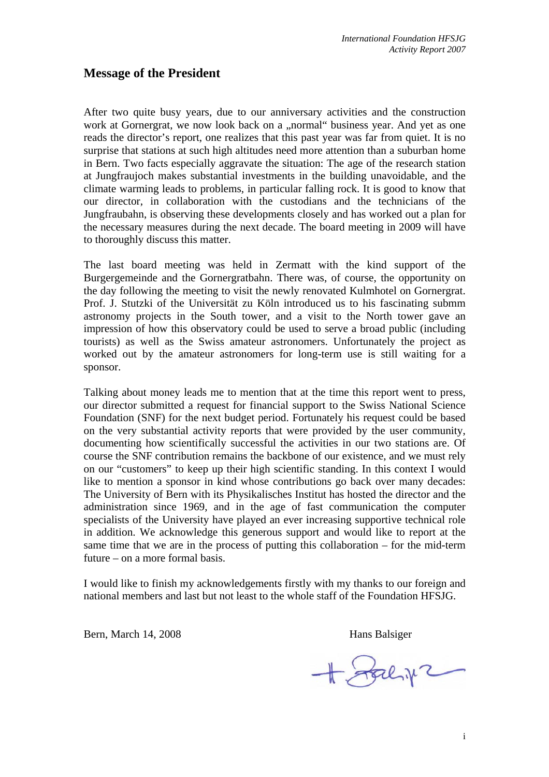## **Message of the President**

After two quite busy years, due to our anniversary activities and the construction work at Gornergrat, we now look back on a "normal" business year. And yet as one reads the director's report, one realizes that this past year was far from quiet. It is no surprise that stations at such high altitudes need more attention than a suburban home in Bern. Two facts especially aggravate the situation: The age of the research station at Jungfraujoch makes substantial investments in the building unavoidable, and the climate warming leads to problems, in particular falling rock. It is good to know that our director, in collaboration with the custodians and the technicians of the Jungfraubahn, is observing these developments closely and has worked out a plan for the necessary measures during the next decade. The board meeting in 2009 will have to thoroughly discuss this matter.

The last board meeting was held in Zermatt with the kind support of the Burgergemeinde and the Gornergratbahn. There was, of course, the opportunity on the day following the meeting to visit the newly renovated Kulmhotel on Gornergrat. Prof. J. Stutzki of the Universität zu Köln introduced us to his fascinating submm astronomy projects in the South tower, and a visit to the North tower gave an impression of how this observatory could be used to serve a broad public (including tourists) as well as the Swiss amateur astronomers. Unfortunately the project as worked out by the amateur astronomers for long-term use is still waiting for a sponsor.

Talking about money leads me to mention that at the time this report went to press, our director submitted a request for financial support to the Swiss National Science Foundation (SNF) for the next budget period. Fortunately his request could be based on the very substantial activity reports that were provided by the user community, documenting how scientifically successful the activities in our two stations are. Of course the SNF contribution remains the backbone of our existence, and we must rely on our "customers" to keep up their high scientific standing. In this context I would like to mention a sponsor in kind whose contributions go back over many decades: The University of Bern with its Physikalisches Institut has hosted the director and the administration since 1969, and in the age of fast communication the computer specialists of the University have played an ever increasing supportive technical role in addition. We acknowledge this generous support and would like to report at the same time that we are in the process of putting this collaboration – for the mid-term future – on a more formal basis.

I would like to finish my acknowledgements firstly with my thanks to our foreign and national members and last but not least to the whole staff of the Foundation HFSJG.

Bern, March 14, 2008 Hans Balsiger

 $+$  Fachy2